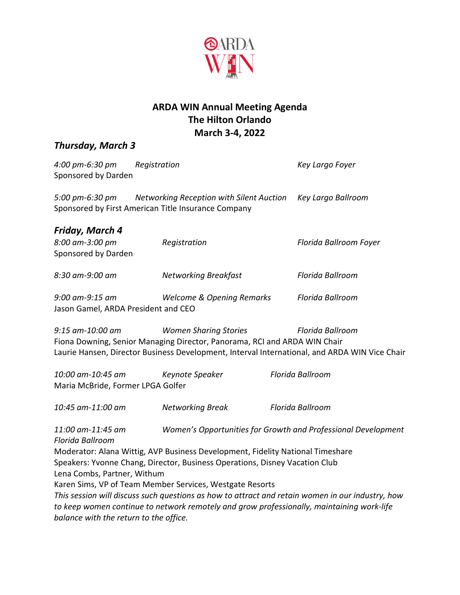

## **ARDA WIN Annual Meeting Agenda The Hilton Orlando March 3-4, 2022**

## *Thursday, March 3*

| 4:00 pm-6:30 pm<br>Sponsored by Darden                 | Registration                                                                                                                                                  | Key Largo Foyer                                                                                                   |
|--------------------------------------------------------|---------------------------------------------------------------------------------------------------------------------------------------------------------------|-------------------------------------------------------------------------------------------------------------------|
| 5:00 pm-6:30 pm                                        | Networking Reception with Silent Auction<br>Sponsored by First American Title Insurance Company                                                               | Key Largo Ballroom                                                                                                |
| Friday, March 4                                        |                                                                                                                                                               |                                                                                                                   |
| 8:00 am-3:00 pm<br>Sponsored by Darden                 | Registration                                                                                                                                                  | Florida Ballroom Foyer                                                                                            |
| 8:30 am-9:00 am                                        | <b>Networking Breakfast</b>                                                                                                                                   | Florida Ballroom                                                                                                  |
| 9:00 am-9:15 am<br>Jason Gamel, ARDA President and CEO | <b>Welcome &amp; Opening Remarks</b>                                                                                                                          | Florida Ballroom                                                                                                  |
| 9:15 am-10:00 am                                       | <b>Women Sharing Stories</b><br>Fiona Downing, Senior Managing Director, Panorama, RCI and ARDA WIN Chair                                                     | Florida Ballroom<br>Laurie Hansen, Director Business Development, Interval International, and ARDA WIN Vice Chair |
| 10:00 am-10:45 am<br>Maria McBride, Former LPGA Golfer | Keynote Speaker                                                                                                                                               | Florida Ballroom                                                                                                  |
| 10:45 am-11:00 am                                      | <b>Networking Break</b>                                                                                                                                       | Florida Ballroom                                                                                                  |
| 11:00 am-11:45 am<br>Florida Ballroom                  |                                                                                                                                                               | Women's Opportunities for Growth and Professional Development                                                     |
| Lena Combs, Partner, Withum                            | Moderator: Alana Wittig, AVP Business Development, Fidelity National Timeshare<br>Speakers: Yvonne Chang, Director, Business Operations, Disney Vacation Club |                                                                                                                   |
|                                                        | Karen Sims, VP of Team Member Services, Westgate Resorts                                                                                                      |                                                                                                                   |
|                                                        |                                                                                                                                                               | This session will discuss such questions as how to attract and retain women in our industry, how                  |
|                                                        |                                                                                                                                                               | to keep women continue to network remotely and grow professionally, maintaining work-life                         |
| balance with the return to the office.                 |                                                                                                                                                               |                                                                                                                   |